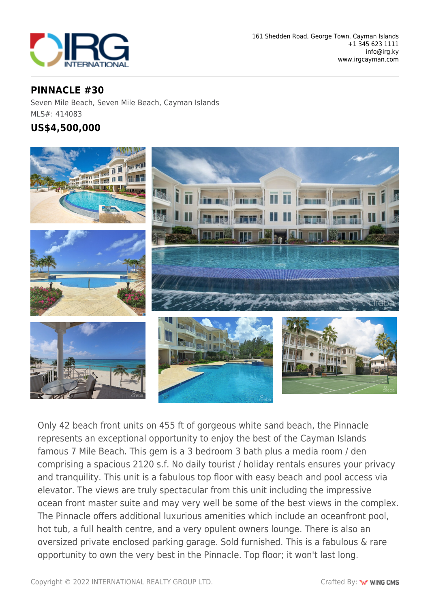

## **PINNACLE #30**

Seven Mile Beach, Seven Mile Beach, Cayman Islands MLS#: 414083

## **US\$4,500,000**



Only 42 beach front units on 455 ft of gorgeous white sand beach, the Pinnacle represents an exceptional opportunity to enjoy the best of the Cayman Islands famous 7 Mile Beach. This gem is a 3 bedroom 3 bath plus a media room / den comprising a spacious 2120 s.f. No daily tourist / holiday rentals ensures your privacy and tranquility. This unit is a fabulous top floor with easy beach and pool access via elevator. The views are truly spectacular from this unit including the impressive ocean front master suite and may very well be some of the best views in the complex. The Pinnacle offers additional luxurious amenities which include an oceanfront pool, hot tub, a full health centre, and a very opulent owners lounge. There is also an oversized private enclosed parking garage. Sold furnished. This is a fabulous & rare opportunity to own the very best in the Pinnacle. Top floor; it won't last long.